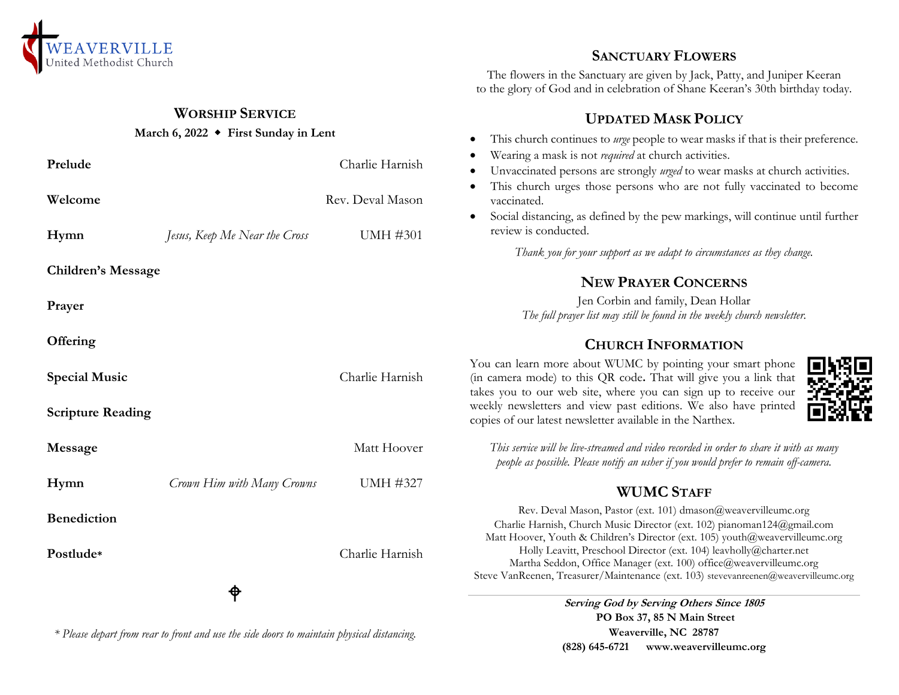

## **WORSHIP SERVICE**

#### **March 6, 2022 First Sunday in Lent**

| Prelude                   |                               | Charlie Harnish  | Wearing a mask is not <i>required</i> at church activities.<br>Unvaccinated persons are strongly urged to wear masks at church activities.<br>$\bullet$                                                                         |
|---------------------------|-------------------------------|------------------|---------------------------------------------------------------------------------------------------------------------------------------------------------------------------------------------------------------------------------|
| Welcome                   |                               | Rev. Deval Mason | This church urges those persons who are not fully vaccinated to become<br>vaccinated.                                                                                                                                           |
| Hymn                      | Jesus, Keep Me Near the Cross | <b>UMH #301</b>  | Social distancing, as defined by the pew markings, will continue until further<br>$\bullet$<br>review is conducted.                                                                                                             |
|                           |                               |                  | Thank you for your support as we adapt to circumstances as they change.                                                                                                                                                         |
| <b>Children's Message</b> |                               |                  | <b>NEW PRAYER CONCERNS</b>                                                                                                                                                                                                      |
| Prayer                    |                               |                  | Jen Corbin and family, Dean Hollar<br>The full prayer list may still be found in the weekly church newsletter.                                                                                                                  |
| Offering                  |                               |                  | <b>CHURCH INFORMATION</b>                                                                                                                                                                                                       |
| <b>Special Music</b>      |                               | Charlie Harnish  | You can learn more about WUMC by pointing your smart phone<br>(in camera mode) to this QR code. That will give you a link that<br>takes you to our web site, where you can sign up to receive our                               |
| <b>Scripture Reading</b>  |                               |                  | weekly newsletters and view past editions. We also have printed<br>copies of our latest newsletter available in the Narthex.                                                                                                    |
| Message                   |                               | Matt Hoover      | This service will be live-streamed and video recorded in order to share it with as many<br>people as possible. Please notify an usher if you would prefer to remain off-camera.                                                 |
| Hymn                      | Crown Him with Many Crowns    | <b>UMH #327</b>  | <b>WUMC STAFF</b>                                                                                                                                                                                                               |
| <b>Benediction</b>        |                               |                  | Rev. Deval Mason, Pastor (ext. 101) dmason@weavervilleumc.org<br>Charlie Harnish, Church Music Director (ext. 102) pianoman124@gmail.com<br>Matt Hoover, Youth & Children's Director (ext. 105) youth@weavervilleumc.org        |
| Postlude*                 |                               | Charlie Harnish  | Holly Leavitt, Preschool Director (ext. 104) leavholly@charter.net<br>Martha Seddon, Office Manager (ext. 100) office@weavervilleumc.org<br>Steve VanReenen, Treasurer/Maintenance (ext. 103) stevevanreenen@weavervilleumc.org |
|                           | ♦                             |                  | Serving God by Serving Others Since 1805                                                                                                                                                                                        |
|                           |                               |                  | PO Box 37, 85 N Main Street                                                                                                                                                                                                     |

*\* Please depart from rear to front and use the side doors to maintain physical distancing.*

**SANCTUARY FLOWERS**

The flowers in the Sanctuary are given by Jack, Patty, and Juniper Keeran to the glory of God and in celebration of Shane Keeran's 30th birthday today.

# **UPDATED MASK POLICY**

- This church continues to *urge* people to wear masks if that is their preference.
- Wearing a mask is not *required* at church activities.
- Unvaccinated persons are strongly *urged* to wear masks at church activities.
- vaccinated to become
- continue until further

**Weaverville, NC 28787 (828) 645-6721 [www.weavervilleumc.org](http://www.weavervilleumc.org/)**